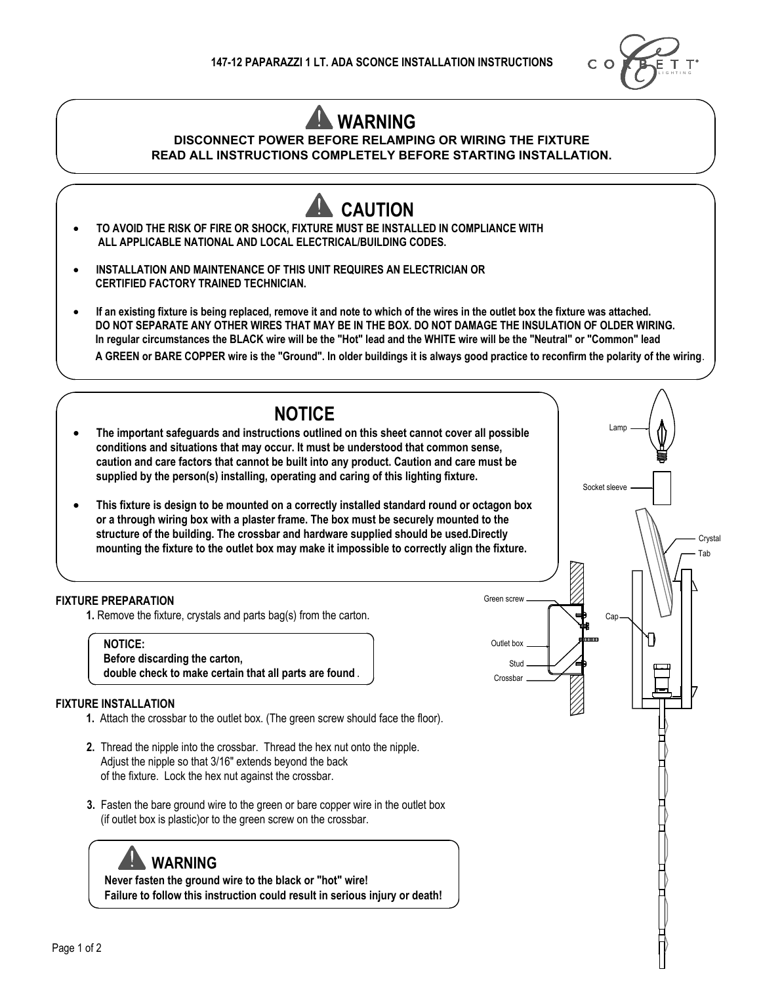

## **WARNING**

## **DISCONNECT POWER BEFORE RELAMPING OR WIRING THE FIXTURE READ ALL INSTRUCTIONS COMPLETELY BEFORE STARTING INSTALLATION.**